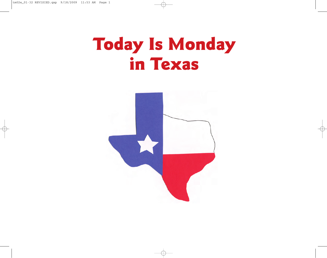## **Today Is Monday in Texas**

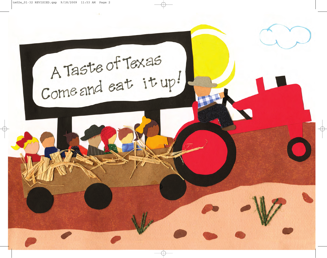A Taste of Texas<br>Come and eat it up!  $\overline{\mathcal{P}}$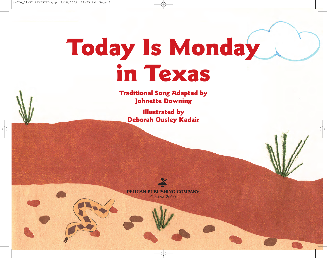## **Today Is Monday in Texas**

**Traditional Song Adapted by Johnette Downing**

**Illustrated by Deborah Ousley Kadair**

**PELICAN PUBLISHING COMPANY** GRETNA 2010